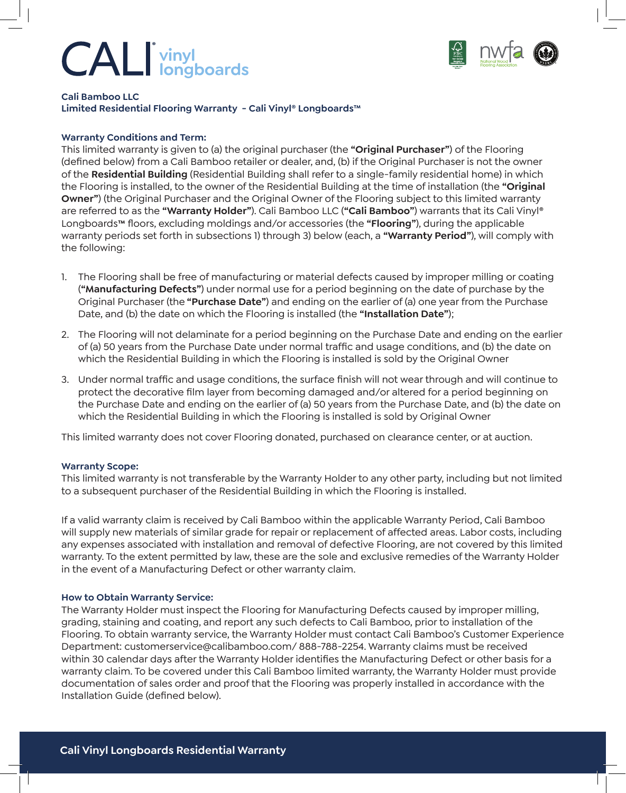# **vinyl longboards**



**Cali Bamboo LLC Limited Residential Flooring Warranty - Cali Vinyl® Longboards™**

## **Warranty Conditions and Term:**

This limited warranty is given to (a) the original purchaser (the **"Original Purchaser"**) of the Flooring (defined below) from a Cali Bamboo retailer or dealer, and, (b) if the Original Purchaser is not the owner of the **Residential Building** (Residential Building shall refer to a single-family residential home) in which the Flooring is installed, to the owner of the Residential Building at the time of installation (the **"Original Owner"**) (the Original Purchaser and the Original Owner of the Flooring subject to this limited warranty are referred to as the **"Warranty Holder"**). Cali Bamboo LLC (**"Cali Bamboo"**) warrants that its Cali Vinyl® Longboards**™** floors, excluding moldings and/or accessories (the **"Flooring"**), during the applicable warranty periods set forth in subsections 1) through 3) below (each, a **"Warranty Period"**), will comply with the following:

- 1. The Flooring shall be free of manufacturing or material defects caused by improper milling or coating (**"Manufacturing Defects"**) under normal use for a period beginning on the date of purchase by the Original Purchaser (the **"Purchase Date"**) and ending on the earlier of (a) one year from the Purchase Date, and (b) the date on which the Flooring is installed (the **"Installation Date"**);
- 2. The Flooring will not delaminate for a period beginning on the Purchase Date and ending on the earlier of (a) 50 years from the Purchase Date under normal traffic and usage conditions, and (b) the date on which the Residential Building in which the Flooring is installed is sold by the Original Owner
- 3. Under normal traffic and usage conditions, the surface finish will not wear through and will continue to protect the decorative film layer from becoming damaged and/or altered for a period beginning on the Purchase Date and ending on the earlier of (a) 50 years from the Purchase Date, and (b) the date on which the Residential Building in which the Flooring is installed is sold by Original Owner

This limited warranty does not cover Flooring donated, purchased on clearance center, or at auction.

### **Warranty Scope:**

This limited warranty is not transferable by the Warranty Holder to any other party, including but not limited to a subsequent purchaser of the Residential Building in which the Flooring is installed.

If a valid warranty claim is received by Cali Bamboo within the applicable Warranty Period, Cali Bamboo will supply new materials of similar grade for repair or replacement of affected areas. Labor costs, including any expenses associated with installation and removal of defective Flooring, are not covered by this limited warranty. To the extent permitted by law, these are the sole and exclusive remedies of the Warranty Holder in the event of a Manufacturing Defect or other warranty claim.

### **How to Obtain Warranty Service:**

The Warranty Holder must inspect the Flooring for Manufacturing Defects caused by improper milling, grading, staining and coating, and report any such defects to Cali Bamboo, prior to installation of the Flooring. To obtain warranty service, the Warranty Holder must contact Cali Bamboo's Customer Experience Department: customerservice@calibamboo.com/ 888-788-2254. Warranty claims must be received within 30 calendar days after the Warranty Holder identifies the Manufacturing Defect or other basis for a warranty claim. To be covered under this Cali Bamboo limited warranty, the Warranty Holder must provide documentation of sales order and proof that the Flooring was properly installed in accordance with the Installation Guide (defined below).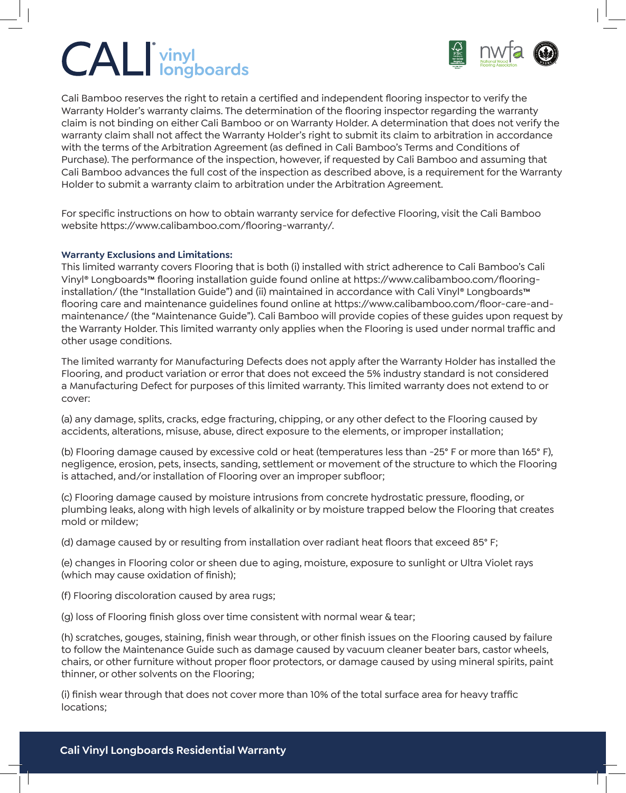# **vinyl longboards**



Cali Bamboo reserves the right to retain a certified and independent flooring inspector to verify the Warranty Holder's warranty claims. The determination of the flooring inspector regarding the warranty claim is not binding on either Cali Bamboo or on Warranty Holder. A determination that does not verify the warranty claim shall not affect the Warranty Holder's right to submit its claim to arbitration in accordance with the terms of the Arbitration Agreement (as defined in Cali Bamboo's Terms and Conditions of Purchase). The performance of the inspection, however, if requested by Cali Bamboo and assuming that Cali Bamboo advances the full cost of the inspection as described above, is a requirement for the Warranty Holder to submit a warranty claim to arbitration under the Arbitration Agreement.

For specific instructions on how to obtain warranty service for defective Flooring, visit the Cali Bamboo website https://www.calibamboo.com/flooring-warranty/.

## **Warranty Exclusions and Limitations:**

This limited warranty covers Flooring that is both (i) installed with strict adherence to Cali Bamboo's Cali Vinyl® Longboards**™** flooring installation guide found online at https://www.calibamboo.com/flooringinstallation/ (the "Installation Guide") and (ii) maintained in accordance with Cali Vinyl® Longboards**™** flooring care and maintenance guidelines found online at https://www.calibamboo.com/floor-care-andmaintenance/ (the "Maintenance Guide"). Cali Bamboo will provide copies of these guides upon request by the Warranty Holder. This limited warranty only applies when the Flooring is used under normal traffic and other usage conditions.

The limited warranty for Manufacturing Defects does not apply after the Warranty Holder has installed the Flooring, and product variation or error that does not exceed the 5% industry standard is not considered a Manufacturing Defect for purposes of this limited warranty. This limited warranty does not extend to or cover:

(a) any damage, splits, cracks, edge fracturing, chipping, or any other defect to the Flooring caused by accidents, alterations, misuse, abuse, direct exposure to the elements, or improper installation;

(b) Flooring damage caused by excessive cold or heat (temperatures less than -25° F or more than 165° F), negligence, erosion, pets, insects, sanding, settlement or movement of the structure to which the Flooring is attached, and/or installation of Flooring over an improper subfloor;

(c) Flooring damage caused by moisture intrusions from concrete hydrostatic pressure, flooding, or plumbing leaks, along with high levels of alkalinity or by moisture trapped below the Flooring that creates mold or mildew;

(d) damage caused by or resulting from installation over radiant heat floors that exceed 85° F;

(e) changes in Flooring color or sheen due to aging, moisture, exposure to sunlight or Ultra Violet rays (which may cause oxidation of finish);

(f) Flooring discoloration caused by area rugs;

(q) loss of Flooring finish gloss over time consistent with normal wear  $\&$  tear;

(h) scratches, gouges, staining, finish wear through, or other finish issues on the Flooring caused by failure to follow the Maintenance Guide such as damage caused by vacuum cleaner beater bars, castor wheels, chairs, or other furniture without proper floor protectors, or damage caused by using mineral spirits, paint thinner, or other solvents on the Flooring;

(i) finish wear through that does not cover more than 10% of the total surface area for heavy traffic locations;